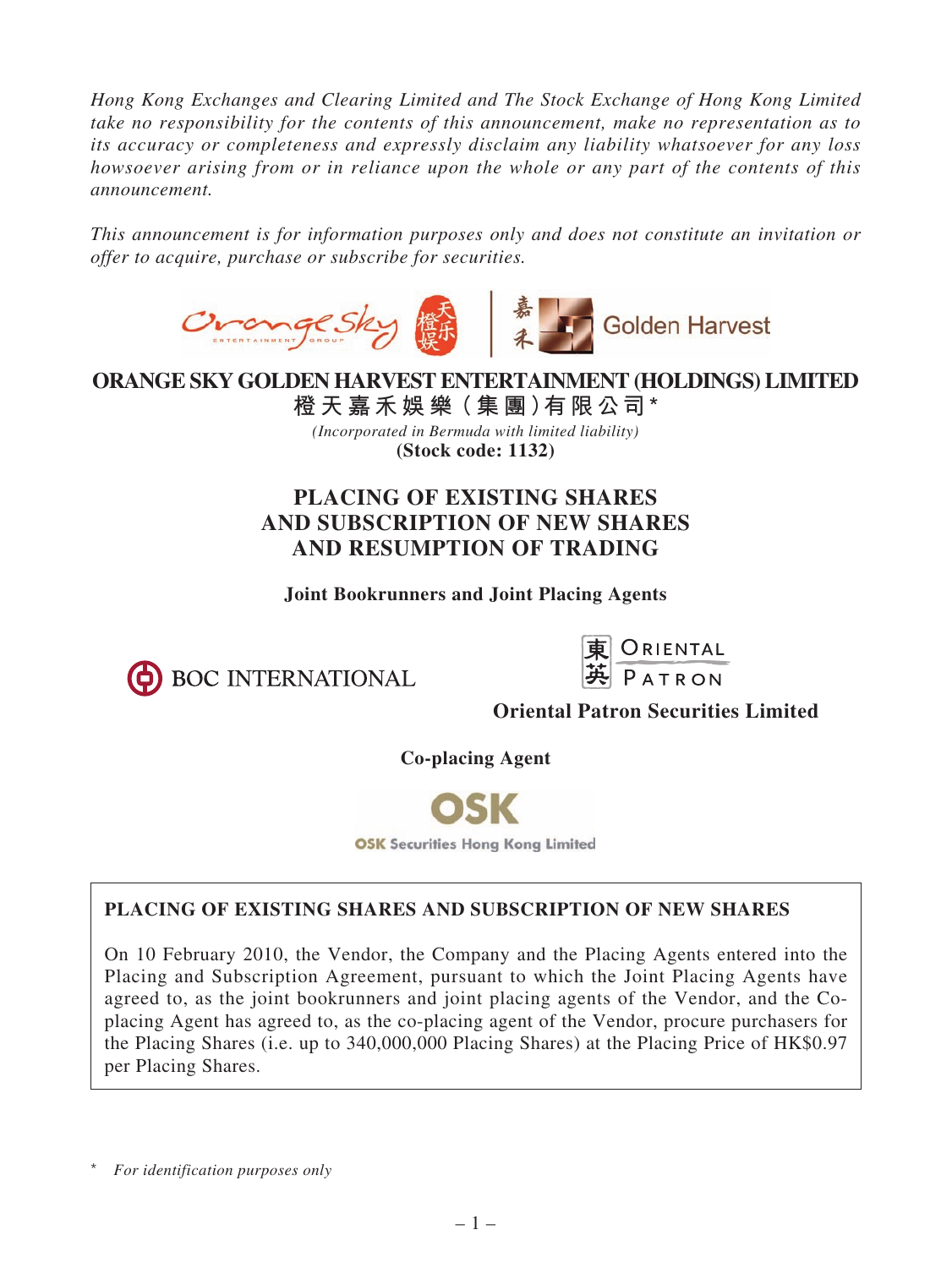*Hong Kong Exchanges and Clearing Limited and The Stock Exchange of Hong Kong Limited take no responsibility for the contents of this announcement, make no representation as to its accuracy or completeness and expressly disclaim any liability whatsoever for any loss howsoever arising from or in reliance upon the whole or any part of the contents of this announcement.*

*This announcement is for information purposes only and does not constitute an invitation or offer to acquire, purchase or subscribe for securities.*



**ORANGE SKY GOLDEN HARVEST ENTERTAINMENT (HOLDINGS) LIMITED**

**橙 天 嘉禾娛 樂(集 團)有限公司\*** *(Incorporated in Bermuda with limited liability)* **(Stock code: 1132)**

# **PLACING OF EXISTING SHARES AND SUBSCRIPTION OF NEW SHARES AND RESUMPTION OF TRADING**

**Joint Bookrunners and Joint Placing Agents**





**Oriental Patron Securities Limited**

**Co-placing Agent**



# **PLACING OF EXISTING SHARES AND SUBSCRIPTION OF NEW SHARES**

On 10 February 2010, the Vendor, the Company and the Placing Agents entered into the Placing and Subscription Agreement, pursuant to which the Joint Placing Agents have agreed to, as the joint bookrunners and joint placing agents of the Vendor, and the Coplacing Agent has agreed to, as the co-placing agent of the Vendor, procure purchasers for the Placing Shares (i.e. up to 340,000,000 Placing Shares) at the Placing Price of HK\$0.97 per Placing Shares.

\* *For identification purposes only*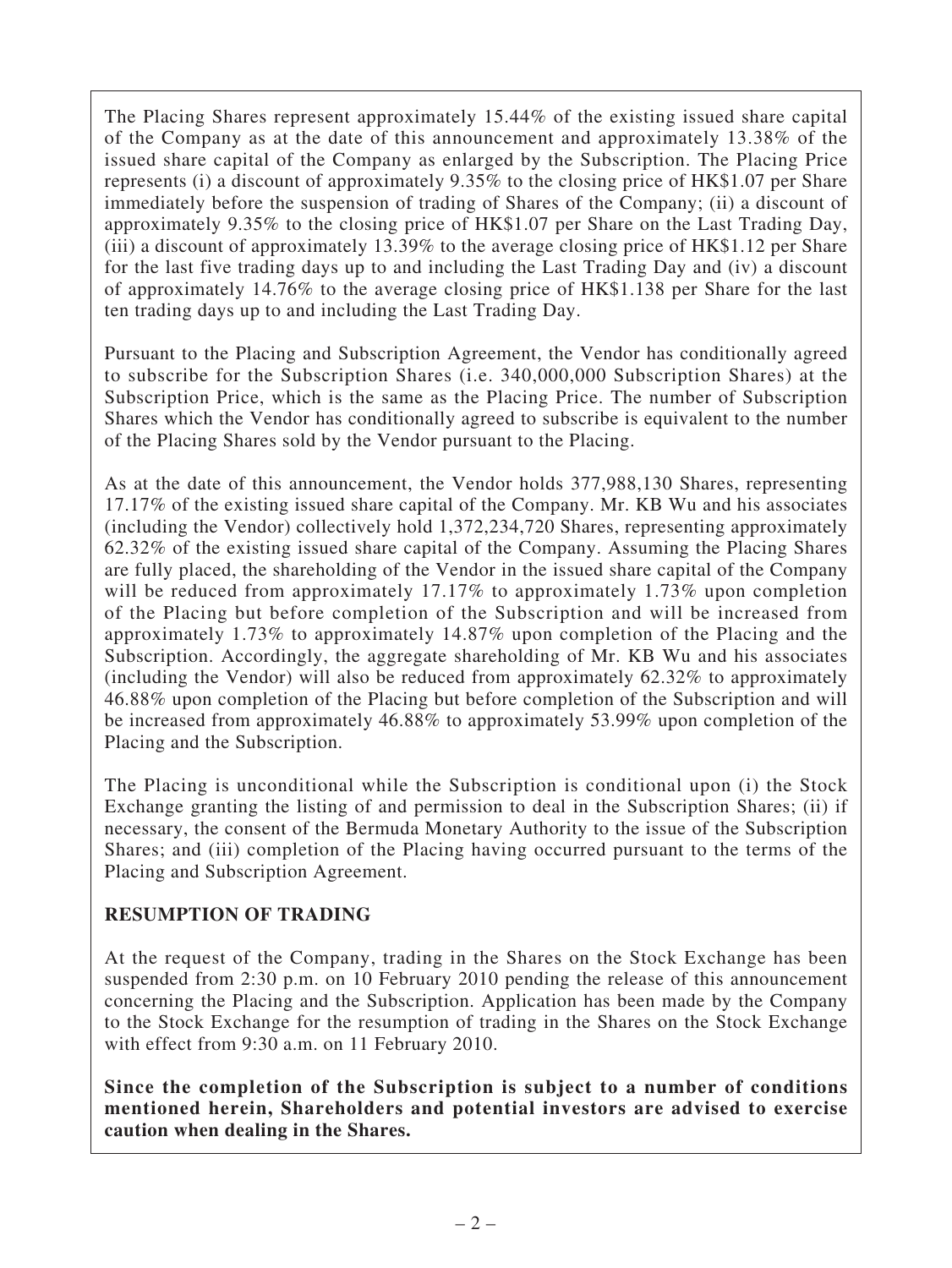The Placing Shares represent approximately 15.44% of the existing issued share capital of the Company as at the date of this announcement and approximately 13.38% of the issued share capital of the Company as enlarged by the Subscription. The Placing Price represents (i) a discount of approximately 9.35% to the closing price of HK\$1.07 per Share immediately before the suspension of trading of Shares of the Company; (ii) a discount of approximately 9.35% to the closing price of HK\$1.07 per Share on the Last Trading Day, (iii) a discount of approximately 13.39% to the average closing price of HK\$1.12 per Share for the last five trading days up to and including the Last Trading Day and (iv) a discount of approximately 14.76% to the average closing price of HK\$1.138 per Share for the last ten trading days up to and including the Last Trading Day.

Pursuant to the Placing and Subscription Agreement, the Vendor has conditionally agreed to subscribe for the Subscription Shares (i.e. 340,000,000 Subscription Shares) at the Subscription Price, which is the same as the Placing Price. The number of Subscription Shares which the Vendor has conditionally agreed to subscribe is equivalent to the number of the Placing Shares sold by the Vendor pursuant to the Placing.

As at the date of this announcement, the Vendor holds 377,988,130 Shares, representing 17.17% of the existing issued share capital of the Company. Mr. KB Wu and his associates (including the Vendor) collectively hold 1,372,234,720 Shares, representing approximately 62.32% of the existing issued share capital of the Company. Assuming the Placing Shares are fully placed, the shareholding of the Vendor in the issued share capital of the Company will be reduced from approximately 17.17% to approximately 1.73% upon completion of the Placing but before completion of the Subscription and will be increased from approximately 1.73% to approximately 14.87% upon completion of the Placing and the Subscription. Accordingly, the aggregate shareholding of Mr. KB Wu and his associates (including the Vendor) will also be reduced from approximately 62.32% to approximately 46.88% upon completion of the Placing but before completion of the Subscription and will be increased from approximately 46.88% to approximately 53.99% upon completion of the Placing and the Subscription.

The Placing is unconditional while the Subscription is conditional upon (i) the Stock Exchange granting the listing of and permission to deal in the Subscription Shares; (ii) if necessary, the consent of the Bermuda Monetary Authority to the issue of the Subscription Shares; and (iii) completion of the Placing having occurred pursuant to the terms of the Placing and Subscription Agreement.

## **RESUMPTION OF TRADING**

At the request of the Company, trading in the Shares on the Stock Exchange has been suspended from 2:30 p.m. on 10 February 2010 pending the release of this announcement concerning the Placing and the Subscription. Application has been made by the Company to the Stock Exchange for the resumption of trading in the Shares on the Stock Exchange with effect from 9:30 a.m. on 11 February 2010.

**Since the completion of the Subscription is subject to a number of conditions mentioned herein, Shareholders and potential investors are advised to exercise caution when dealing in the Shares.**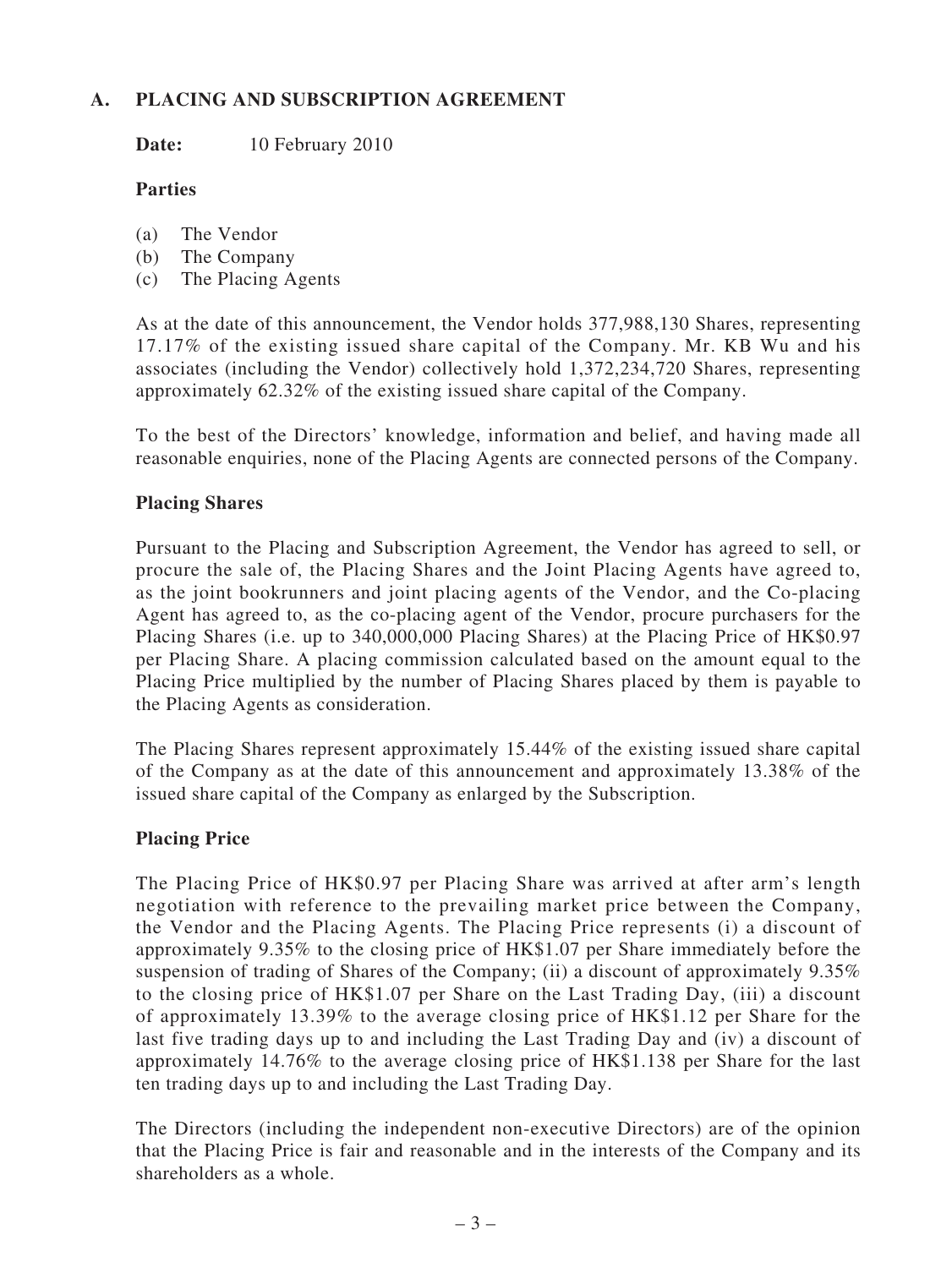# **A. PLACING AND SUBSCRIPTION AGREEMENT**

Date: 10 February 2010

## **Parties**

- (a) The Vendor
- (b) The Company
- (c) The Placing Agents

As at the date of this announcement, the Vendor holds 377,988,130 Shares, representing 17.17% of the existing issued share capital of the Company. Mr. KB Wu and his associates (including the Vendor) collectively hold 1,372,234,720 Shares, representing approximately 62.32% of the existing issued share capital of the Company.

To the best of the Directors' knowledge, information and belief, and having made all reasonable enquiries, none of the Placing Agents are connected persons of the Company.

## **Placing Shares**

Pursuant to the Placing and Subscription Agreement, the Vendor has agreed to sell, or procure the sale of, the Placing Shares and the Joint Placing Agents have agreed to, as the joint bookrunners and joint placing agents of the Vendor, and the Co-placing Agent has agreed to, as the co-placing agent of the Vendor, procure purchasers for the Placing Shares (i.e. up to 340,000,000 Placing Shares) at the Placing Price of HK\$0.97 per Placing Share. A placing commission calculated based on the amount equal to the Placing Price multiplied by the number of Placing Shares placed by them is payable to the Placing Agents as consideration.

The Placing Shares represent approximately 15.44% of the existing issued share capital of the Company as at the date of this announcement and approximately 13.38% of the issued share capital of the Company as enlarged by the Subscription.

## **Placing Price**

The Placing Price of HK\$0.97 per Placing Share was arrived at after arm's length negotiation with reference to the prevailing market price between the Company, the Vendor and the Placing Agents. The Placing Price represents (i) a discount of approximately 9.35% to the closing price of HK\$1.07 per Share immediately before the suspension of trading of Shares of the Company; (ii) a discount of approximately 9.35% to the closing price of HK\$1.07 per Share on the Last Trading Day, (iii) a discount of approximately 13.39% to the average closing price of HK\$1.12 per Share for the last five trading days up to and including the Last Trading Day and (iv) a discount of approximately 14.76% to the average closing price of HK\$1.138 per Share for the last ten trading days up to and including the Last Trading Day.

The Directors (including the independent non-executive Directors) are of the opinion that the Placing Price is fair and reasonable and in the interests of the Company and its shareholders as a whole.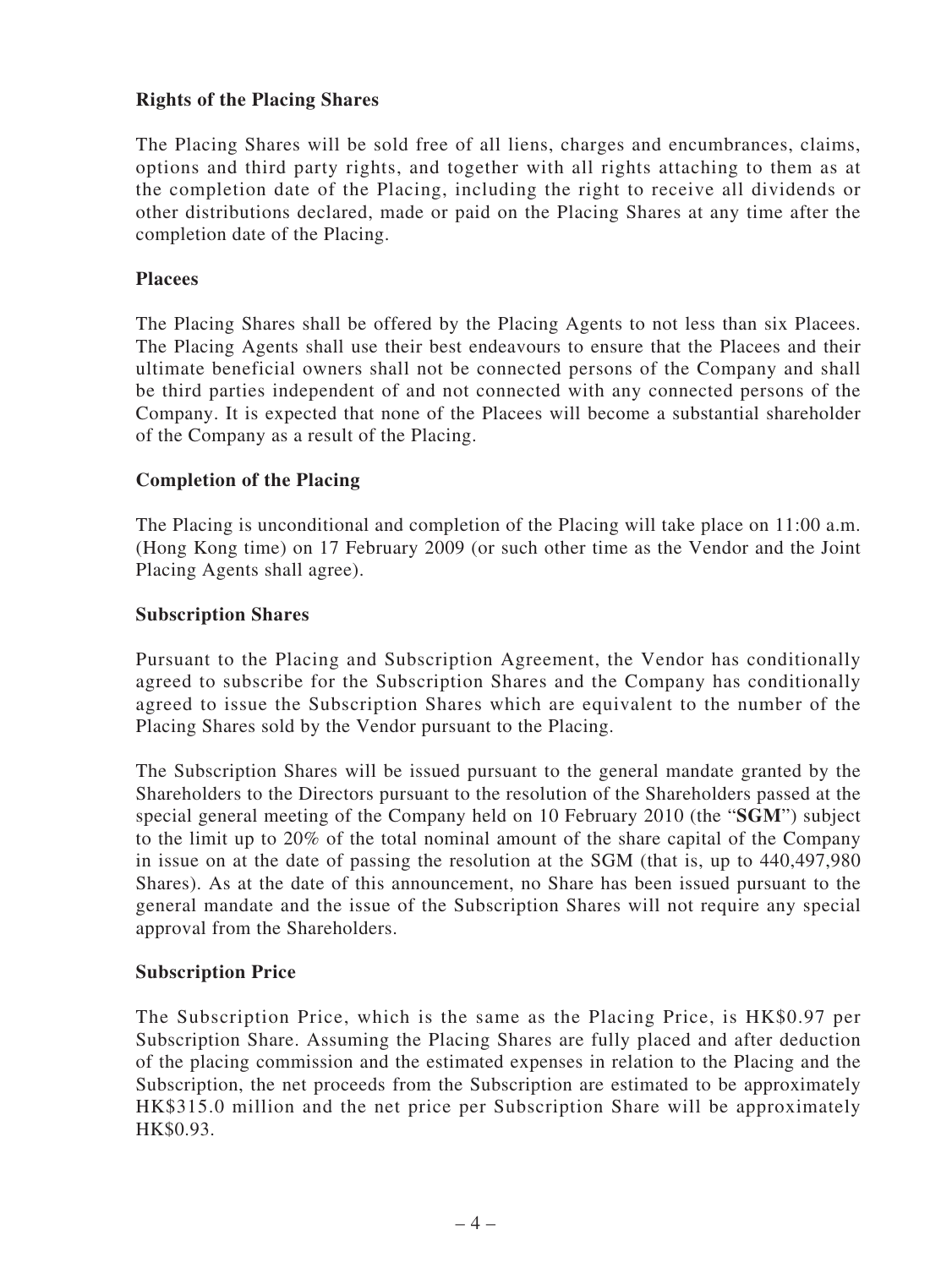## **Rights of the Placing Shares**

The Placing Shares will be sold free of all liens, charges and encumbrances, claims, options and third party rights, and together with all rights attaching to them as at the completion date of the Placing, including the right to receive all dividends or other distributions declared, made or paid on the Placing Shares at any time after the completion date of the Placing.

#### **Placees**

The Placing Shares shall be offered by the Placing Agents to not less than six Placees. The Placing Agents shall use their best endeavours to ensure that the Placees and their ultimate beneficial owners shall not be connected persons of the Company and shall be third parties independent of and not connected with any connected persons of the Company. It is expected that none of the Placees will become a substantial shareholder of the Company as a result of the Placing.

## **Completion of the Placing**

The Placing is unconditional and completion of the Placing will take place on 11:00 a.m. (Hong Kong time) on 17 February 2009 (or such other time as the Vendor and the Joint Placing Agents shall agree).

#### **Subscription Shares**

Pursuant to the Placing and Subscription Agreement, the Vendor has conditionally agreed to subscribe for the Subscription Shares and the Company has conditionally agreed to issue the Subscription Shares which are equivalent to the number of the Placing Shares sold by the Vendor pursuant to the Placing.

The Subscription Shares will be issued pursuant to the general mandate granted by the Shareholders to the Directors pursuant to the resolution of the Shareholders passed at the special general meeting of the Company held on 10 February 2010 (the "**SGM**") subject to the limit up to 20% of the total nominal amount of the share capital of the Company in issue on at the date of passing the resolution at the SGM (that is, up to 440,497,980 Shares). As at the date of this announcement, no Share has been issued pursuant to the general mandate and the issue of the Subscription Shares will not require any special approval from the Shareholders.

#### **Subscription Price**

The Subscription Price, which is the same as the Placing Price, is HK\$0.97 per Subscription Share. Assuming the Placing Shares are fully placed and after deduction of the placing commission and the estimated expenses in relation to the Placing and the Subscription, the net proceeds from the Subscription are estimated to be approximately HK\$315.0 million and the net price per Subscription Share will be approximately HK\$0.93.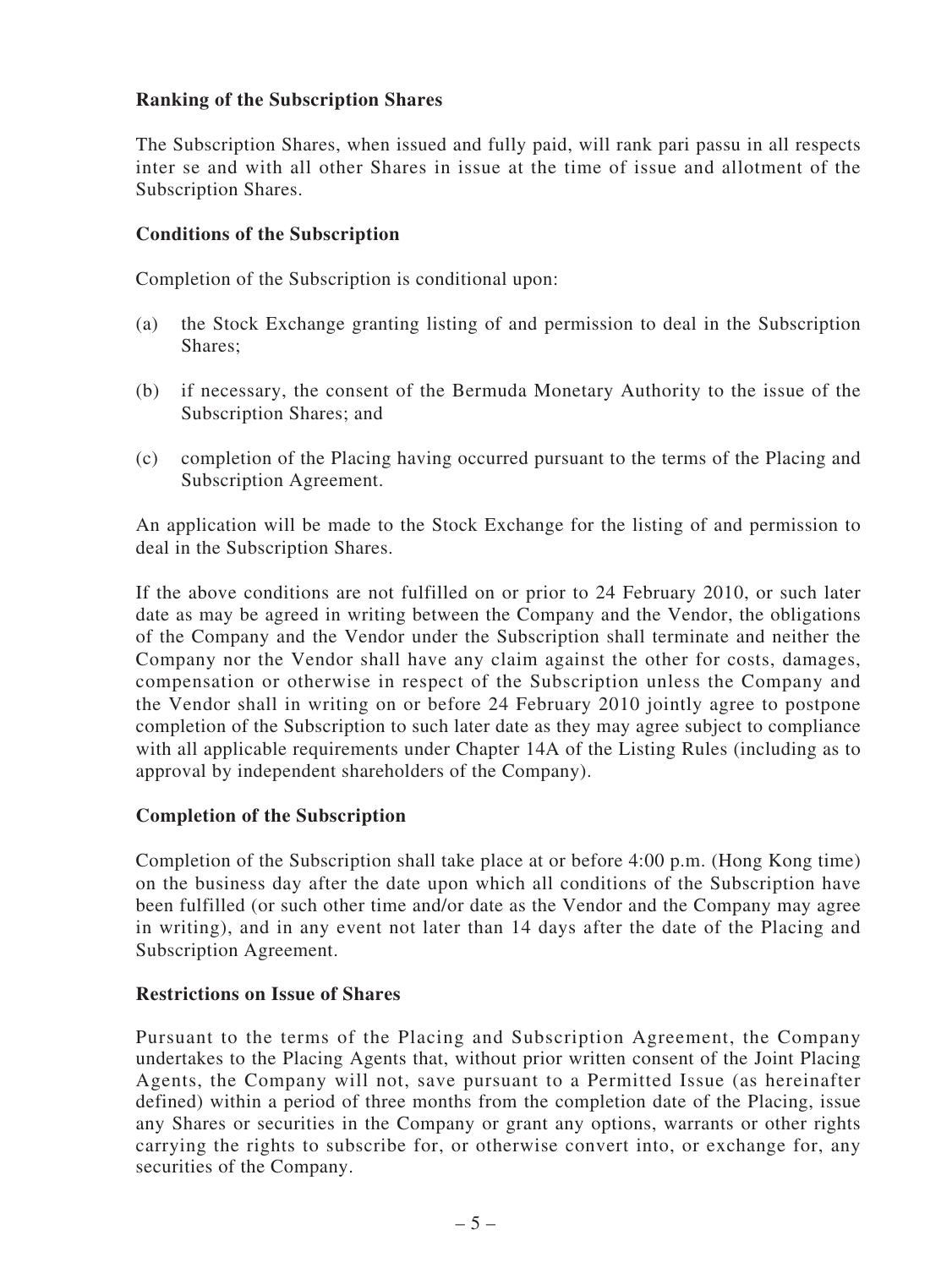## **Ranking of the Subscription Shares**

The Subscription Shares, when issued and fully paid, will rank pari passu in all respects inter se and with all other Shares in issue at the time of issue and allotment of the Subscription Shares.

## **Conditions of the Subscription**

Completion of the Subscription is conditional upon:

- (a) the Stock Exchange granting listing of and permission to deal in the Subscription Shares;
- (b) if necessary, the consent of the Bermuda Monetary Authority to the issue of the Subscription Shares; and
- (c) completion of the Placing having occurred pursuant to the terms of the Placing and Subscription Agreement.

An application will be made to the Stock Exchange for the listing of and permission to deal in the Subscription Shares.

If the above conditions are not fulfilled on or prior to 24 February 2010, or such later date as may be agreed in writing between the Company and the Vendor, the obligations of the Company and the Vendor under the Subscription shall terminate and neither the Company nor the Vendor shall have any claim against the other for costs, damages, compensation or otherwise in respect of the Subscription unless the Company and the Vendor shall in writing on or before 24 February 2010 jointly agree to postpone completion of the Subscription to such later date as they may agree subject to compliance with all applicable requirements under Chapter 14A of the Listing Rules (including as to approval by independent shareholders of the Company).

#### **Completion of the Subscription**

Completion of the Subscription shall take place at or before 4:00 p.m. (Hong Kong time) on the business day after the date upon which all conditions of the Subscription have been fulfilled (or such other time and/or date as the Vendor and the Company may agree in writing), and in any event not later than 14 days after the date of the Placing and Subscription Agreement.

#### **Restrictions on Issue of Shares**

Pursuant to the terms of the Placing and Subscription Agreement, the Company undertakes to the Placing Agents that, without prior written consent of the Joint Placing Agents, the Company will not, save pursuant to a Permitted Issue (as hereinafter defined) within a period of three months from the completion date of the Placing, issue any Shares or securities in the Company or grant any options, warrants or other rights carrying the rights to subscribe for, or otherwise convert into, or exchange for, any securities of the Company.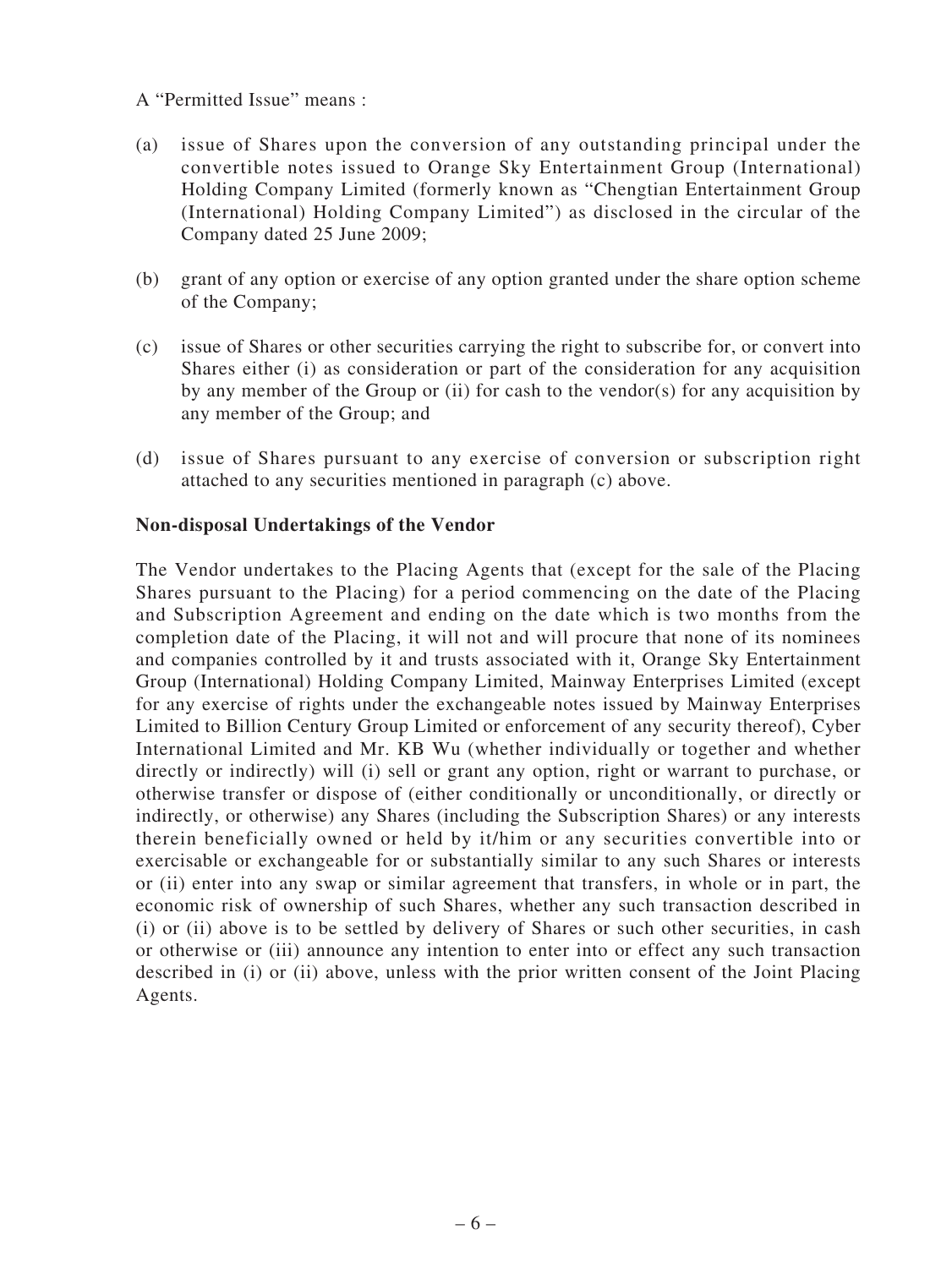#### A "Permitted Issue" means :

- (a) issue of Shares upon the conversion of any outstanding principal under the convertible notes issued to Orange Sky Entertainment Group (International) Holding Company Limited (formerly known as "Chengtian Entertainment Group (International) Holding Company Limited") as disclosed in the circular of the Company dated 25 June 2009;
- (b) grant of any option or exercise of any option granted under the share option scheme of the Company;
- (c) issue of Shares or other securities carrying the right to subscribe for, or convert into Shares either (i) as consideration or part of the consideration for any acquisition by any member of the Group or (ii) for cash to the vendor(s) for any acquisition by any member of the Group; and
- (d) issue of Shares pursuant to any exercise of conversion or subscription right attached to any securities mentioned in paragraph (c) above.

## **Non-disposal Undertakings of the Vendor**

The Vendor undertakes to the Placing Agents that (except for the sale of the Placing Shares pursuant to the Placing) for a period commencing on the date of the Placing and Subscription Agreement and ending on the date which is two months from the completion date of the Placing, it will not and will procure that none of its nominees and companies controlled by it and trusts associated with it, Orange Sky Entertainment Group (International) Holding Company Limited, Mainway Enterprises Limited (except for any exercise of rights under the exchangeable notes issued by Mainway Enterprises Limited to Billion Century Group Limited or enforcement of any security thereof), Cyber International Limited and Mr. KB Wu (whether individually or together and whether directly or indirectly) will (i) sell or grant any option, right or warrant to purchase, or otherwise transfer or dispose of (either conditionally or unconditionally, or directly or indirectly, or otherwise) any Shares (including the Subscription Shares) or any interests therein beneficially owned or held by it/him or any securities convertible into or exercisable or exchangeable for or substantially similar to any such Shares or interests or (ii) enter into any swap or similar agreement that transfers, in whole or in part, the economic risk of ownership of such Shares, whether any such transaction described in (i) or (ii) above is to be settled by delivery of Shares or such other securities, in cash or otherwise or (iii) announce any intention to enter into or effect any such transaction described in (i) or (ii) above, unless with the prior written consent of the Joint Placing Agents.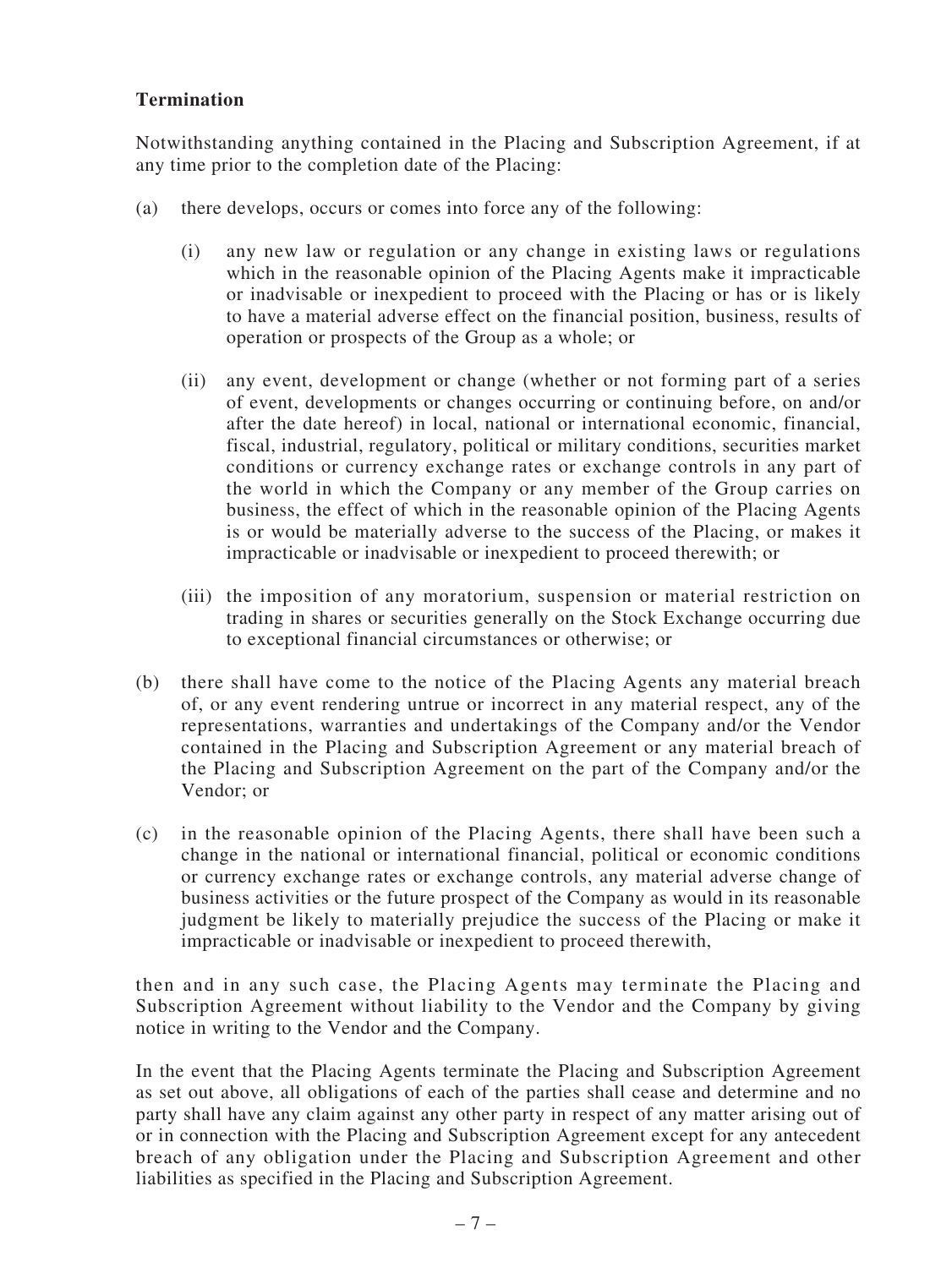# **Termination**

Notwithstanding anything contained in the Placing and Subscription Agreement, if at any time prior to the completion date of the Placing:

- (a) there develops, occurs or comes into force any of the following:
	- (i) any new law or regulation or any change in existing laws or regulations which in the reasonable opinion of the Placing Agents make it impracticable or inadvisable or inexpedient to proceed with the Placing or has or is likely to have a material adverse effect on the financial position, business, results of operation or prospects of the Group as a whole; or
	- (ii) any event, development or change (whether or not forming part of a series of event, developments or changes occurring or continuing before, on and/or after the date hereof) in local, national or international economic, financial, fiscal, industrial, regulatory, political or military conditions, securities market conditions or currency exchange rates or exchange controls in any part of the world in which the Company or any member of the Group carries on business, the effect of which in the reasonable opinion of the Placing Agents is or would be materially adverse to the success of the Placing, or makes it impracticable or inadvisable or inexpedient to proceed therewith; or
	- (iii) the imposition of any moratorium, suspension or material restriction on trading in shares or securities generally on the Stock Exchange occurring due to exceptional financial circumstances or otherwise; or
- (b) there shall have come to the notice of the Placing Agents any material breach of, or any event rendering untrue or incorrect in any material respect, any of the representations, warranties and undertakings of the Company and/or the Vendor contained in the Placing and Subscription Agreement or any material breach of the Placing and Subscription Agreement on the part of the Company and/or the Vendor; or
- (c) in the reasonable opinion of the Placing Agents, there shall have been such a change in the national or international financial, political or economic conditions or currency exchange rates or exchange controls, any material adverse change of business activities or the future prospect of the Company as would in its reasonable judgment be likely to materially prejudice the success of the Placing or make it impracticable or inadvisable or inexpedient to proceed therewith,

then and in any such case, the Placing Agents may terminate the Placing and Subscription Agreement without liability to the Vendor and the Company by giving notice in writing to the Vendor and the Company.

In the event that the Placing Agents terminate the Placing and Subscription Agreement as set out above, all obligations of each of the parties shall cease and determine and no party shall have any claim against any other party in respect of any matter arising out of or in connection with the Placing and Subscription Agreement except for any antecedent breach of any obligation under the Placing and Subscription Agreement and other liabilities as specified in the Placing and Subscription Agreement.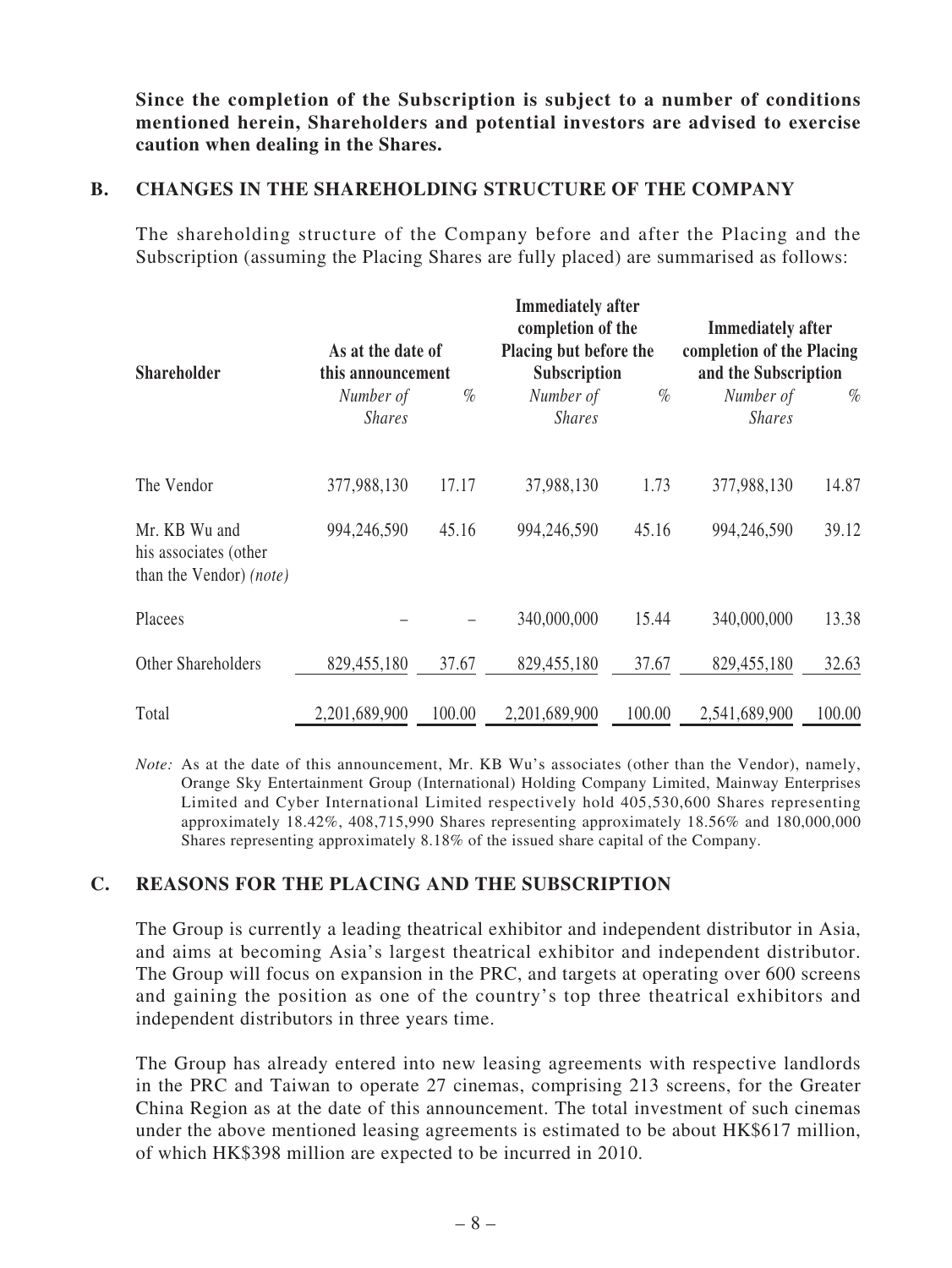**Since the completion of the Subscription is subject to a number of conditions mentioned herein, Shareholders and potential investors are advised to exercise caution when dealing in the Shares.**

## **B. CHANGES IN THE SHAREHOLDING STRUCTURE OF THE COMPANY**

The shareholding structure of the Company before and after the Placing and the Subscription (assuming the Placing Shares are fully placed) are summarised as follows:

| <b>Shareholder</b>                                                       | As at the date of<br>this announcement |        | <b>Immediately after</b><br>completion of the<br>Placing but before the<br>Subscription |        | <b>Immediately after</b><br>completion of the Placing<br>and the Subscription |        |
|--------------------------------------------------------------------------|----------------------------------------|--------|-----------------------------------------------------------------------------------------|--------|-------------------------------------------------------------------------------|--------|
|                                                                          | Number of<br><b>Shares</b>             | $\%$   | Number of<br><b>Shares</b>                                                              | $\%$   | Number of<br><b>Shares</b>                                                    | $\%$   |
| The Vendor                                                               | 377,988,130                            | 17.17  | 37,988,130                                                                              | 1.73   | 377,988,130                                                                   | 14.87  |
| Mr. KB Wu and<br>his associates (other<br>than the Vendor) <i>(note)</i> | 994,246,590                            | 45.16  | 994,246,590                                                                             | 45.16  | 994,246,590                                                                   | 39.12  |
| Placees                                                                  |                                        |        | 340,000,000                                                                             | 15.44  | 340,000,000                                                                   | 13.38  |
| Other Shareholders                                                       | 829,455,180                            | 37.67  | 829,455,180                                                                             | 37.67  | 829,455,180                                                                   | 32.63  |
| Total                                                                    | 2,201,689,900                          | 100.00 | 2,201,689,900                                                                           | 100.00 | 2,541,689,900                                                                 | 100.00 |

*Note:* As at the date of this announcement, Mr. KB Wu's associates (other than the Vendor), namely, Orange Sky Entertainment Group (International) Holding Company Limited, Mainway Enterprises Limited and Cyber International Limited respectively hold 405,530,600 Shares representing approximately 18.42%, 408,715,990 Shares representing approximately 18.56% and 180,000,000 Shares representing approximately 8.18% of the issued share capital of the Company.

## **C. REASONS FOR THE PLACING AND THE SUBSCRIPTION**

The Group is currently a leading theatrical exhibitor and independent distributor in Asia, and aims at becoming Asia's largest theatrical exhibitor and independent distributor. The Group will focus on expansion in the PRC, and targets at operating over 600 screens and gaining the position as one of the country's top three theatrical exhibitors and independent distributors in three years time.

The Group has already entered into new leasing agreements with respective landlords in the PRC and Taiwan to operate 27 cinemas, comprising 213 screens, for the Greater China Region as at the date of this announcement. The total investment of such cinemas under the above mentioned leasing agreements is estimated to be about HK\$617 million, of which HK\$398 million are expected to be incurred in 2010.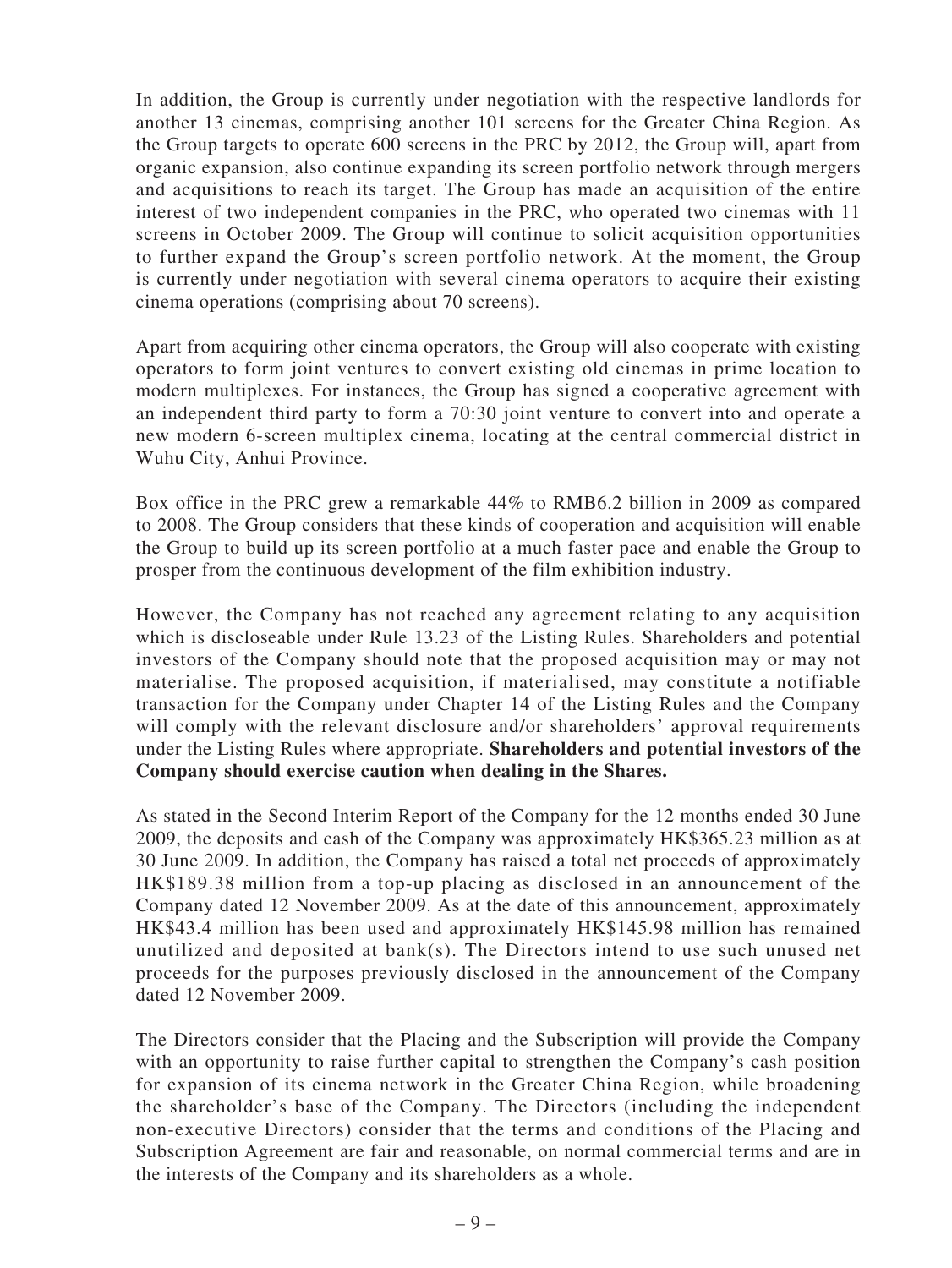In addition, the Group is currently under negotiation with the respective landlords for another 13 cinemas, comprising another 101 screens for the Greater China Region. As the Group targets to operate 600 screens in the PRC by 2012, the Group will, apart from organic expansion, also continue expanding its screen portfolio network through mergers and acquisitions to reach its target. The Group has made an acquisition of the entire interest of two independent companies in the PRC, who operated two cinemas with 11 screens in October 2009. The Group will continue to solicit acquisition opportunities to further expand the Group's screen portfolio network. At the moment, the Group is currently under negotiation with several cinema operators to acquire their existing cinema operations (comprising about 70 screens).

Apart from acquiring other cinema operators, the Group will also cooperate with existing operators to form joint ventures to convert existing old cinemas in prime location to modern multiplexes. For instances, the Group has signed a cooperative agreement with an independent third party to form a 70:30 joint venture to convert into and operate a new modern 6-screen multiplex cinema, locating at the central commercial district in Wuhu City, Anhui Province.

Box office in the PRC grew a remarkable 44% to RMB6.2 billion in 2009 as compared to 2008. The Group considers that these kinds of cooperation and acquisition will enable the Group to build up its screen portfolio at a much faster pace and enable the Group to prosper from the continuous development of the film exhibition industry.

However, the Company has not reached any agreement relating to any acquisition which is discloseable under Rule 13.23 of the Listing Rules. Shareholders and potential investors of the Company should note that the proposed acquisition may or may not materialise. The proposed acquisition, if materialised, may constitute a notifiable transaction for the Company under Chapter 14 of the Listing Rules and the Company will comply with the relevant disclosure and/or shareholders' approval requirements under the Listing Rules where appropriate. **Shareholders and potential investors of the Company should exercise caution when dealing in the Shares.**

As stated in the Second Interim Report of the Company for the 12 months ended 30 June 2009, the deposits and cash of the Company was approximately HK\$365.23 million as at 30 June 2009. In addition, the Company has raised a total net proceeds of approximately HK\$189.38 million from a top-up placing as disclosed in an announcement of the Company dated 12 November 2009. As at the date of this announcement, approximately HK\$43.4 million has been used and approximately HK\$145.98 million has remained unutilized and deposited at bank(s). The Directors intend to use such unused net proceeds for the purposes previously disclosed in the announcement of the Company dated 12 November 2009.

The Directors consider that the Placing and the Subscription will provide the Company with an opportunity to raise further capital to strengthen the Company's cash position for expansion of its cinema network in the Greater China Region, while broadening the shareholder's base of the Company. The Directors (including the independent non-executive Directors) consider that the terms and conditions of the Placing and Subscription Agreement are fair and reasonable, on normal commercial terms and are in the interests of the Company and its shareholders as a whole.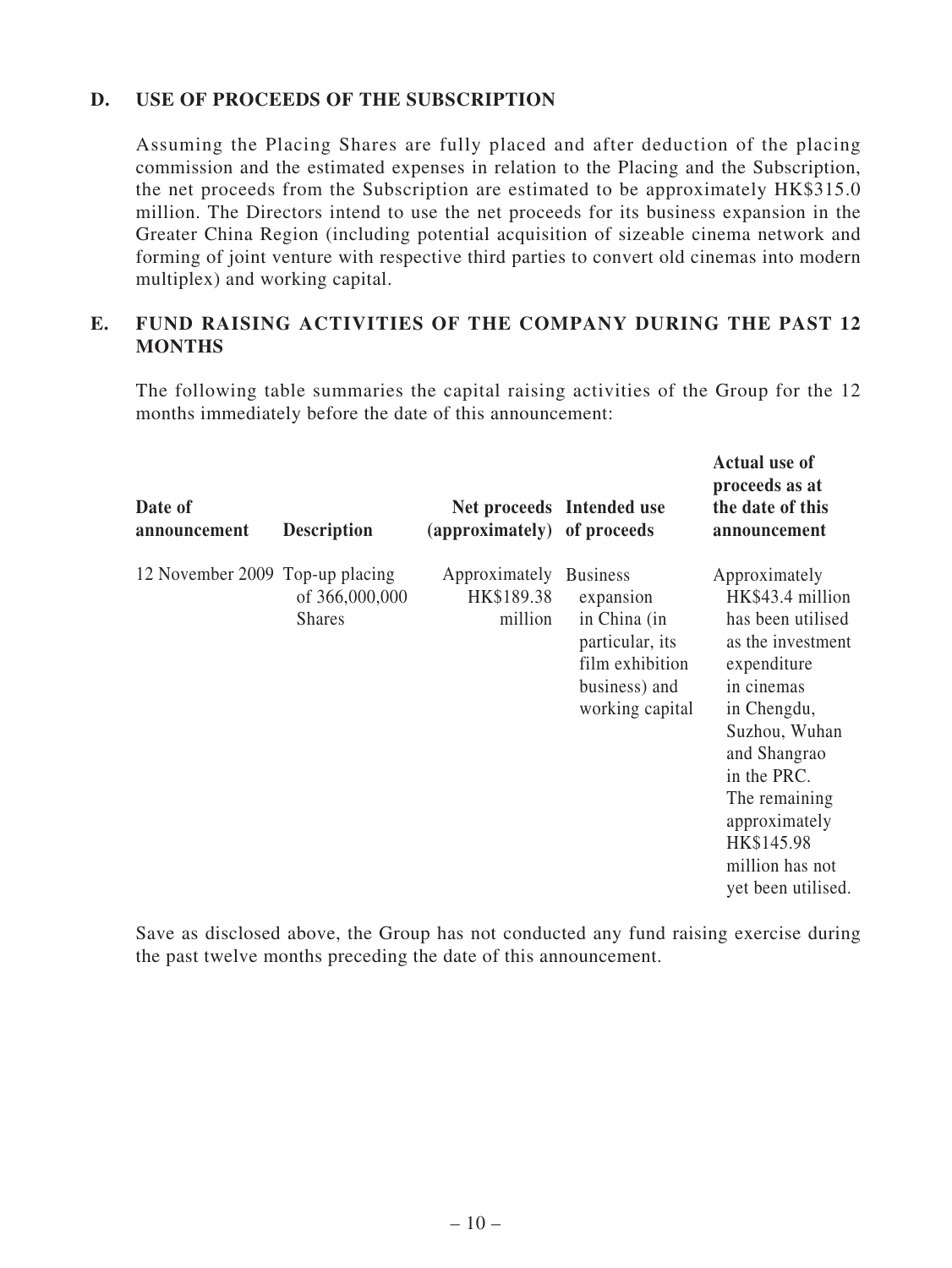## **D. USE OF PROCEEDS OF THE SUBSCRIPTION**

Assuming the Placing Shares are fully placed and after deduction of the placing commission and the estimated expenses in relation to the Placing and the Subscription, the net proceeds from the Subscription are estimated to be approximately HK\$315.0 million. The Directors intend to use the net proceeds for its business expansion in the Greater China Region (including potential acquisition of sizeable cinema network and forming of joint venture with respective third parties to convert old cinemas into modern multiplex) and working capital.

## **E. FUND RAISING ACTIVITIES OF THE COMPANY DURING THE PAST 12 MONTHS**

The following table summaries the capital raising activities of the Group for the 12 months immediately before the date of this announcement:

**Actual use of** 

| Date of<br>announcement         | <b>Description</b>              | (approximately) of proceeds            | Net proceeds Intended use                                                                                              | proceeds as at<br>the date of this<br>announcement                                                                                                                                                                                                               |
|---------------------------------|---------------------------------|----------------------------------------|------------------------------------------------------------------------------------------------------------------------|------------------------------------------------------------------------------------------------------------------------------------------------------------------------------------------------------------------------------------------------------------------|
| 12 November 2009 Top-up placing | of 366,000,000<br><b>Shares</b> | Approximately<br>HK\$189.38<br>million | <b>Business</b><br>expansion<br>in China (in<br>particular, its<br>film exhibition<br>business) and<br>working capital | Approximately<br>HK\$43.4 million<br>has been utilised<br>as the investment<br>expenditure<br>in cinemas<br>in Chengdu,<br>Suzhou, Wuhan<br>and Shangrao<br>in the PRC.<br>The remaining<br>approximately<br>HK\$145.98<br>million has not<br>yet been utilised. |

Save as disclosed above, the Group has not conducted any fund raising exercise during the past twelve months preceding the date of this announcement.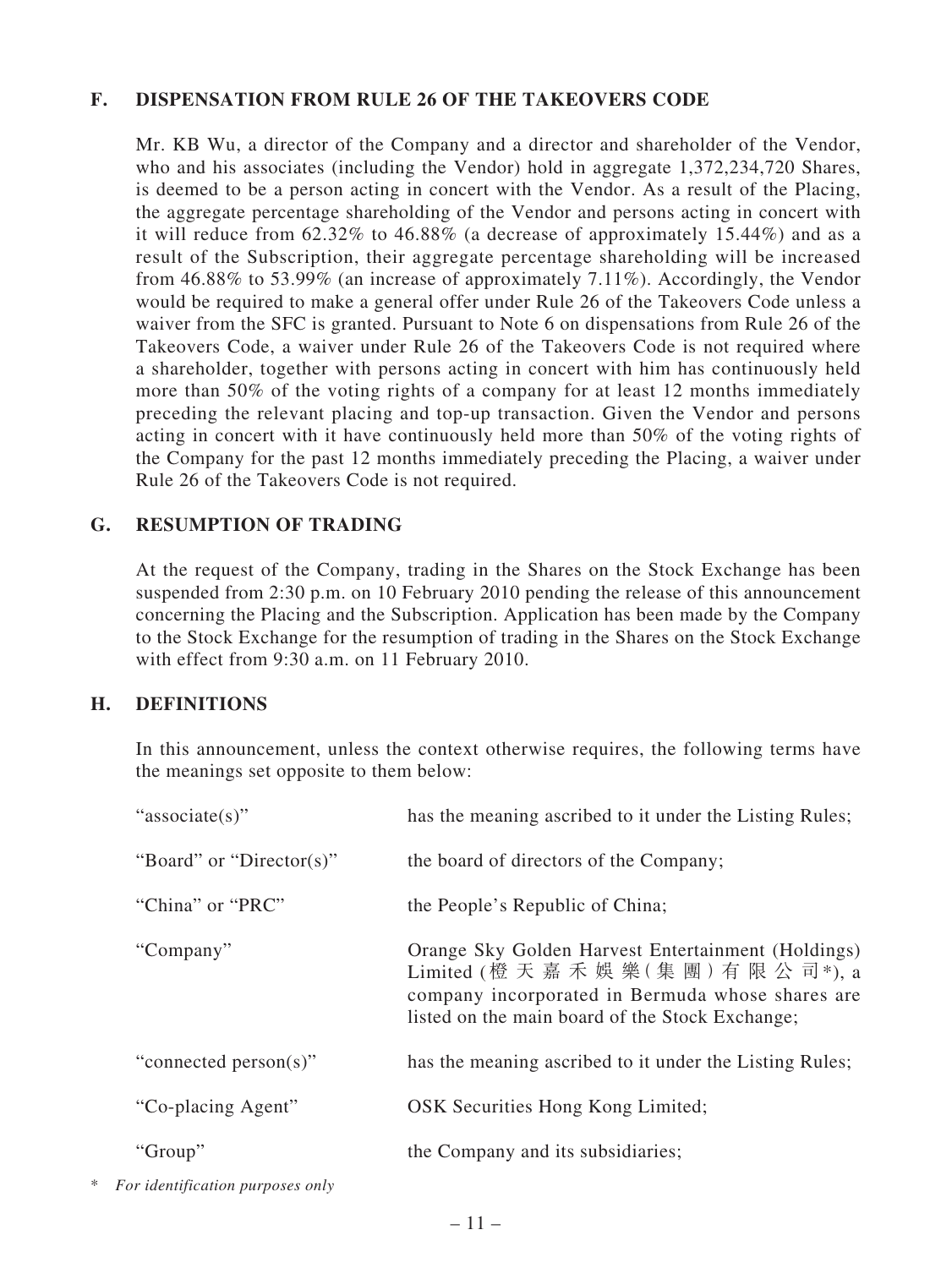## **F. DISPENSATION FROM RULE 26 OF THE TAKEOVERS CODE**

Mr. KB Wu, a director of the Company and a director and shareholder of the Vendor, who and his associates (including the Vendor) hold in aggregate 1,372,234,720 Shares, is deemed to be a person acting in concert with the Vendor. As a result of the Placing, the aggregate percentage shareholding of the Vendor and persons acting in concert with it will reduce from 62.32% to 46.88% (a decrease of approximately 15.44%) and as a result of the Subscription, their aggregate percentage shareholding will be increased from 46.88% to 53.99% (an increase of approximately 7.11%). Accordingly, the Vendor would be required to make a general offer under Rule 26 of the Takeovers Code unless a waiver from the SFC is granted. Pursuant to Note 6 on dispensations from Rule 26 of the Takeovers Code, a waiver under Rule 26 of the Takeovers Code is not required where a shareholder, together with persons acting in concert with him has continuously held more than 50% of the voting rights of a company for at least 12 months immediately preceding the relevant placing and top-up transaction. Given the Vendor and persons acting in concert with it have continuously held more than 50% of the voting rights of the Company for the past 12 months immediately preceding the Placing, a waiver under Rule 26 of the Takeovers Code is not required.

## **G. RESUMPTION OF TRADING**

At the request of the Company, trading in the Shares on the Stock Exchange has been suspended from 2:30 p.m. on 10 February 2010 pending the release of this announcement concerning the Placing and the Subscription. Application has been made by the Company to the Stock Exchange for the resumption of trading in the Shares on the Stock Exchange with effect from 9:30 a.m. on 11 February 2010.

#### **H. DEFINITIONS**

In this announcement, unless the context otherwise requires, the following terms have the meanings set opposite to them below:

| "associate(s)"           | has the meaning ascribed to it under the Listing Rules;                                                                                                                                              |
|--------------------------|------------------------------------------------------------------------------------------------------------------------------------------------------------------------------------------------------|
| "Board" or "Director(s)" | the board of directors of the Company;                                                                                                                                                               |
| "China" or "PRC"         | the People's Republic of China;                                                                                                                                                                      |
| "Company"                | Orange Sky Golden Harvest Entertainment (Holdings)<br>Limited (橙 天 嘉 禾 娛 樂 (集 團) 有 限 公 司*), a<br>company incorporated in Bermuda whose shares are<br>listed on the main board of the Stock Exchange; |
| "connected person(s)"    | has the meaning ascribed to it under the Listing Rules;                                                                                                                                              |
| "Co-placing Agent"       | OSK Securities Hong Kong Limited;                                                                                                                                                                    |
| "Group"                  | the Company and its subsidiaries;                                                                                                                                                                    |
|                          |                                                                                                                                                                                                      |

\* *For identification purposes only*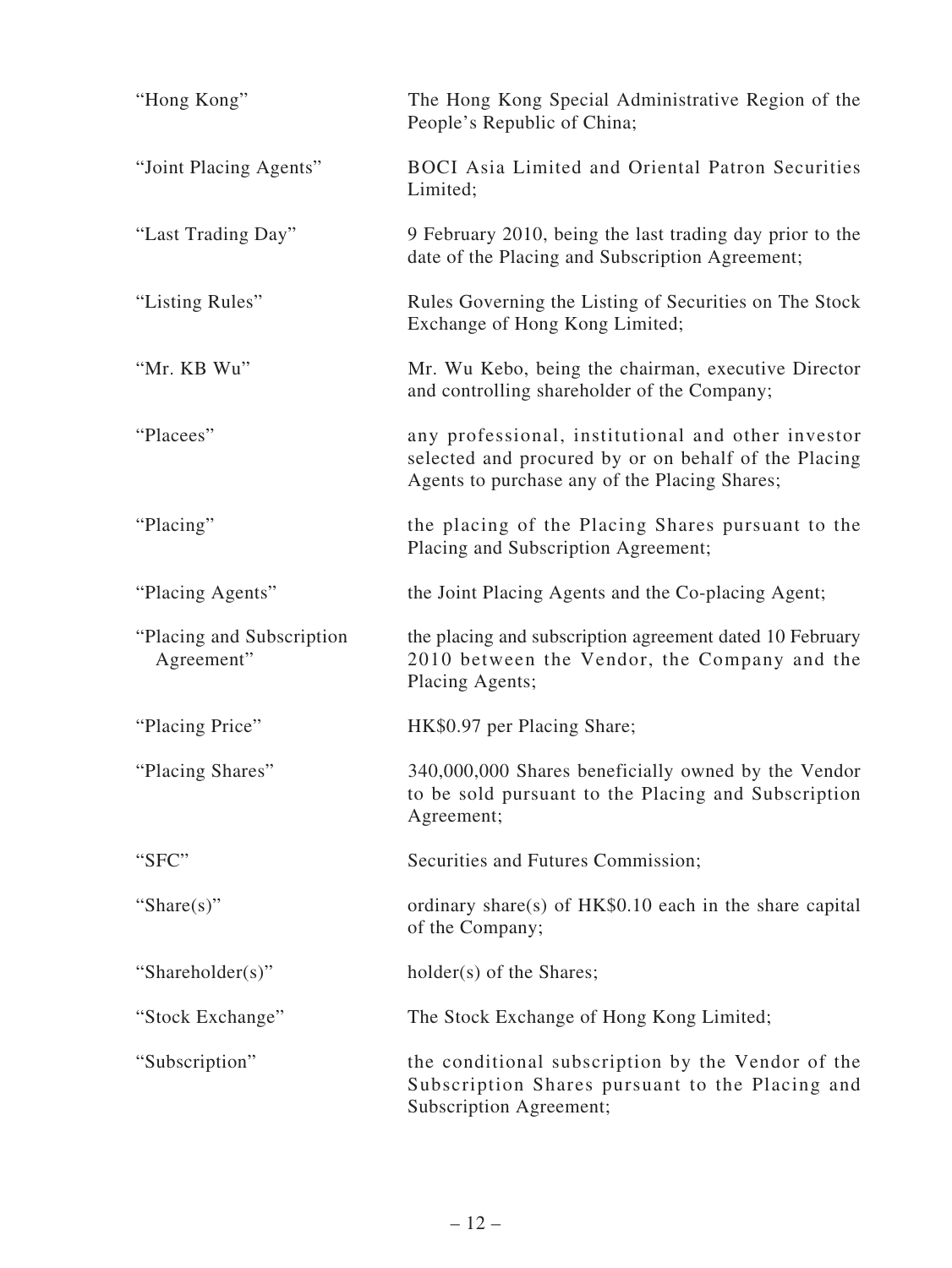| "Hong Kong"                              | The Hong Kong Special Administrative Region of the<br>People's Republic of China;                                                                           |
|------------------------------------------|-------------------------------------------------------------------------------------------------------------------------------------------------------------|
| "Joint Placing Agents"                   | <b>BOCI</b> Asia Limited and Oriental Patron Securities<br>Limited;                                                                                         |
| "Last Trading Day"                       | 9 February 2010, being the last trading day prior to the<br>date of the Placing and Subscription Agreement;                                                 |
| "Listing Rules"                          | Rules Governing the Listing of Securities on The Stock<br>Exchange of Hong Kong Limited;                                                                    |
| "Mr. KB Wu"                              | Mr. Wu Kebo, being the chairman, executive Director<br>and controlling shareholder of the Company;                                                          |
| "Placees"                                | any professional, institutional and other investor<br>selected and procured by or on behalf of the Placing<br>Agents to purchase any of the Placing Shares; |
| "Placing"                                | the placing of the Placing Shares pursuant to the<br>Placing and Subscription Agreement;                                                                    |
| "Placing Agents"                         | the Joint Placing Agents and the Co-placing Agent;                                                                                                          |
| "Placing and Subscription"<br>Agreement" | the placing and subscription agreement dated 10 February<br>2010 between the Vendor, the Company and the<br>Placing Agents;                                 |
| "Placing Price"                          | HK\$0.97 per Placing Share;                                                                                                                                 |
| "Placing Shares"                         | 340,000,000 Shares beneficially owned by the Vendor<br>to be sold pursuant to the Placing and Subscription<br>Agreement;                                    |
| "SFC"                                    | Securities and Futures Commission;                                                                                                                          |
| "Share $(s)$ "                           | ordinary share(s) of HK\$0.10 each in the share capital<br>of the Company;                                                                                  |
| "Shareholder(s)"                         | holder(s) of the Shares;                                                                                                                                    |
| "Stock Exchange"                         | The Stock Exchange of Hong Kong Limited;                                                                                                                    |
| "Subscription"                           | the conditional subscription by the Vendor of the<br>Subscription Shares pursuant to the Placing and<br>Subscription Agreement;                             |